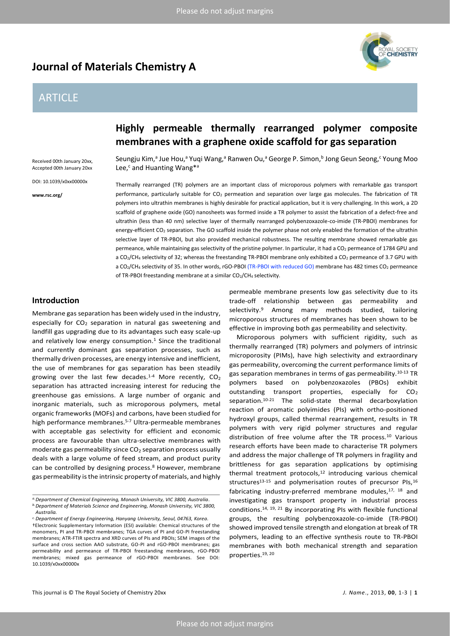# **Journal of Materials Chemistry A**

# ARTICLE

AL SOCIETY<br>**:Hemistry** 

#### Received 00th January 20xx, Accepted 00th January 20xx

DOI: 10.1039/x0xx00000x

**www.rsc.org/**

# **Highly permeable thermally rearranged polymer composite membranes with a graphene oxide scaffold for gas separation**

Seungju Kim,ª Jue Hou,ª Yuqi Wang,ª Ranwen Ou,ª George P. Simon,<sup>b</sup> Jong Geun Seong,<sup>c</sup> Young Moo Lee,<sup>c</sup> and Huanting Wang\*<sup>a</sup>

Thermally rearranged (TR) polymers are an important class of microporous polymers with remarkable gas transport performance, particularly suitable for CO<sub>2</sub> permeation and separation over large gas molecules. The fabrication of TR polymers into ultrathin membranes is highly desirable for practical application, but it is very challenging. In this work, a 2D scaffold of graphene oxide (GO) nanosheets was formed inside a TR polymer to assist the fabrication of a defect-free and ultrathin (less than 40 nm) selective layer of thermally rearranged polybenzoxazole-co-imide (TR-PBOI) membranes for energy-efficient CO<sub>2</sub> separation. The GO scaffold inside the polymer phase not only enabled the formation of the ultrathin selective layer of TR-PBOI, but also provided mechanical robustness. The resulting membrane showed remarkable gas permeance, while maintaining gas selectivity of the pristine polymer. In particular, it had a CO<sub>2</sub> permeance of 1784 GPU and a CO<sub>2</sub>/CH<sub>4</sub> selectivity of 32; whereas the freestanding TR-PBOI membrane only exhibited a CO<sub>2</sub> permeance of 3.7 GPU with a CO<sub>2</sub>/CH<sub>4</sub> selectivity of 35. In other words, rGO-PBOI (TR-PBOI with reduced GO) membrane has 482 times CO<sub>2</sub> permeance of TR-PBOI freestanding membrane at a similar CO2/CH4 selectivity.

## **Introduction**

Membrane gas separation has been widely used in the industry, especially for  $CO<sub>2</sub>$  separation in natural gas sweetening and landfill gas upgrading due to its advantages such easy scale-up and relatively low energy consumption.<sup>1</sup> Since the traditional and currently dominant gas separation processes, such as thermally driven processes, are energy intensive and inefficient, the use of membranes for gas separation has been steadily growing over the last few decades.<sup>1-4</sup> More recently,  $CO<sub>2</sub>$ separation has attracted increasing interest for reducing the greenhouse gas emissions. A large number of organic and inorganic materials, such as microporous polymers, metal organic frameworks (MOFs) and carbons, have been studied for high performance membranes.5-7 Ultra-permeable membranes with acceptable gas selectivity for efficient and economic process are favourable than ultra-selective membranes with moderate gas permeability since  $CO<sub>2</sub>$  separation process usually deals with a large volume of feed stream, and product purity can be controlled by designing process.<sup>8</sup> However, membrane gas permeability is the intrinsic property of materials, and highly

permeable membrane presents low gas selectivity due to its trade-off relationship between gas permeability and selectivity.<sup>9</sup> Among many methods studied, tailoring microporous structures of membranes has been shown to be effective in improving both gas permeability and selectivity.

Microporous polymers with sufficient rigidity, such as thermally rearranged (TR) polymers and polymers of intrinsic microporosity (PIMs), have high selectivity and extraordinary gas permeability, overcoming the current performance limits of gas separation membranes in terms of gas permeability.10-13 TR polymers based on polybenzoxazoles (PBOs) exhibit outstanding transport properties, especially for  $CO<sub>2</sub>$ separation.10-21 The solid-state thermal decarboxylation reaction of aromatic polyimides (PIs) with ortho-positioned hydroxyl groups, called thermal rearrangement, results in TR polymers with very rigid polymer structures and regular distribution of free volume after the TR process.<sup>10</sup> Various research efforts have been made to characterise TR polymers and address the major challenge of TR polymers in fragility and brittleness for gas separation applications by optimising thermal treatment protocols,<sup>12</sup> introducing various chemical structures<sup>13-15</sup> and polymerisation routes of precursor PIs,<sup>16</sup> fabricating industry-preferred membrane modules,<sup>17, 18</sup> and investigating gas transport property in industrial process conditions.14, 19, 21 By incorporating PIs with flexible functional groups, the resulting polybenzoxazole-co-imide (TR-PBOI) showed improved tensile strength and elongation at break of TR polymers, leading to an effective synthesis route to TR-PBOI membranes with both mechanical strength and separation properties.19, 20

*a.Department of Chemical Engineering, Monash University, VIC 3800, Australia. b.Department of Materials Science and Engineering, Monash University, VIC 3800,* 

*Australia. c.Department of Energy Engineering, Hanyang University, Seoul, 04763, Korea.*

<sup>†</sup>Electronic Supplementary Information (ESI) available: Chemical structures of the monomers, PI and TR-PBOI membranes; TGA curves of PI and GO-PI freestanding membranes; ATR-FTIR spectra and XRD curves of PIs and PBOIs; SEM images of the surface and cross section AAO substrate, GO-PI and rGO-PBOI membranes; gas permeability and permeance of TR-PBOI freestanding membranes, rGO-PBOI membranes; mixed gas permeance of rGO-PBOI membranes. See DOI: 10.1039/x0xx00000x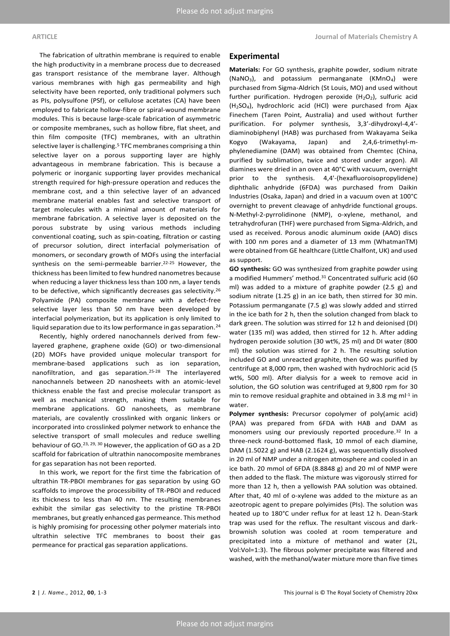The fabrication of ultrathin membrane is required to enable the high productivity in a membrane process due to decreased gas transport resistance of the membrane layer. Although various membranes with high gas permeability and high selectivity have been reported, only traditional polymers such as PIs, polysulfone (PSf), or cellulose acetates (CA) have been employed to fabricate hollow-fibre or spiral-wound membrane modules. This is because large-scale fabrication of asymmetric or composite membranes, such as hollow fibre, flat sheet, and thin film composite (TFC) membranes, with an ultrathin selective layer is challenging.<sup>5</sup> TFC membranes comprising a thin selective layer on a porous supporting layer are highly advantageous in membrane fabrication. This is because a polymeric or inorganic supporting layer provides mechanical strength required for high-pressure operation and reduces the membrane cost, and a thin selective layer of an advanced membrane material enables fast and selective transport of target molecules with a minimal amount of materials for membrane fabrication. A selective layer is deposited on the porous substrate by using various methods including conventional coating, such as spin-coating, filtration or casting of precursor solution, direct interfacial polymerisation of monomers, or secondary growth of MOFs using the interfacial synthesis on the semi-permeable barrier.<sup>22-25</sup> However, the thickness has been limited to few hundred nanometres because when reducing a layer thickness less than 100 nm, a layer tends to be defective, which significantly decreases gas selectivity.<sup>26</sup> Polyamide (PA) composite membrane with a defect-free selective layer less than 50 nm have been developed by interfacial polymerization, but its application is only limited to liquid separation due to its low performance in gas separation.<sup>24</sup>

Recently, highly ordered nanochannels derived from fewlayered graphene, graphene oxide (GO) or two-dimensional (2D) MOFs have provided unique molecular transport for membrane-based applications such as ion separation, nanofiltration, and gas separation.25-28 The interlayered nanochannels between 2D nanosheets with an atomic-level thickness enable the fast and precise molecular transport as well as mechanical strength, making them suitable for membrane applications. GO nanosheets, as membrane materials, are covalently crosslinked with organic linkers or incorporated into crosslinked polymer network to enhance the selective transport of small molecules and reduce swelling behaviour of GO.23, 29, 30 However, the application of GO as a 2D scaffold for fabrication of ultrathin nanocomposite membranes for gas separation has not been reported.

In this work, we report for the first time the fabrication of ultrathin TR-PBOI membranes for gas separation by using GO scaffolds to improve the processibility of TR-PBOI and reduced its thickness to less than 40 nm. The resulting membranes exhibit the similar gas selectivity to the pristine TR-PBOI membranes, but greatly enhanced gas permeance. This method is highly promising for processing other polymer materials into ultrathin selective TFC membranes to boost their gas permeance for practical gas separation applications.

#### **Experimental**

**Materials:** For GO synthesis, graphite powder, sodium nitrate (NaNO3), and potassium permanganate (KMnO4) were purchased from Sigma-Aldrich (St Louis, MO) and used without further purification. Hydrogen peroxide  $(H_2O_2)$ , sulfuric acid (H2SO4), hydrochloric acid (HCl) were purchased from Ajax Finechem (Taren Point, Australia) and used without further purification. For polymer synthesis, 3,3'-dihydroxyl-4,4' diaminobiphenyl (HAB) was purchased from Wakayama Seika Kogyo (Wakayama, Japan) and 2,4,6-trimethyl-mphylenediamine (DAM) was obtained from Chemtec (China, purified by sublimation, twice and stored under argon). All diamines were dried in an oven at 40°C with vacuum, overnight prior to the synthesis. 4,4'-(hexafluoroisopropylidene) diphthalic anhydride (6FDA) was purchased from Daikin Industries (Osaka, Japan) and dried in a vacuum oven at 100°C overnight to prevent cleavage of anhydride functional groups. N-Methyl-2-pyrrolidinone (NMP), o-xylene, methanol, and tetrahydrofuran (THF) were purchased from Sigma-Aldrich, and used as received. Porous anodic aluminum oxide (AAO) discs with 100 nm pores and a diameter of 13 mm (WhatmanTM) were obtained from GE healthcare (Little Chalfont, UK) and used as support.

**GO synthesis:** GO was synthesized from graphite powder using a modified Hummers' method.<sup>31</sup> Concentrated sulfuric acid (60 ml) was added to a mixture of graphite powder (2.5 g) and sodium nitrate (1.25 g) in an ice bath, then stirred for 30 min. Potassium permanganate (7.5 g) was slowly added and stirred in the ice bath for 2 h, then the solution changed from black to dark green. The solution was stirred for 12 h and deionised (DI) water (135 ml) was added, then stirred for 12 h. After adding hydrogen peroxide solution (30 wt%, 25 ml) and DI water (800 ml) the solution was stirred for 2 h. The resulting solution included GO and unreacted graphite, then GO was purified by centrifuge at 8,000 rpm, then washed with hydrochloric acid (5 wt%, 500 ml). After dialysis for a week to remove acid in solution, the GO solution was centrifuged at 9,800 rpm for 30 min to remove residual graphite and obtained in 3.8 mg m $l^{-1}$  in water.

**Polymer synthesis:** Precursor copolymer of poly(amic acid) (PAA) was prepared from 6FDA with HAB and DAM as monomers using our previously reported procedure.<sup>32</sup> In a three-neck round-bottomed flask, 10 mmol of each diamine, DAM (1.5022 g) and HAB (2.1624 g), was sequentially dissolved in 20 ml of NMP under a nitrogen atmosphere and cooled in an ice bath. 20 mmol of 6FDA (8.8848 g) and 20 ml of NMP were then added to the flask. The mixture was vigorously stirred for more than 12 h, then a yellowish PAA solution was obtained. After that, 40 ml of o-xylene was added to the mixture as an azeotropic agent to prepare polyimides (PIs). The solution was heated up to 180°C under reflux for at least 12 h. Dean-Stark trap was used for the reflux. The resultant viscous and darkbrownish solution was cooled at room temperature and precipitated into a mixture of methanol and water (2L, Vol:Vol=1:3). The fibrous polymer precipitate was filtered and washed, with the methanol/water mixture more than five times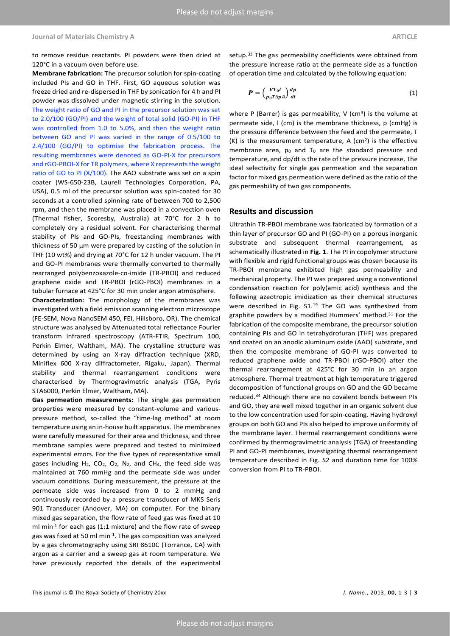#### **Journal of Materials Chemistry A ARTICLE**

to remove residue reactants. PI powders were then dried at 120°C in a vacuum oven before use.

**Membrane fabrication:** The precursor solution for spin-coating included PIs and GO in THF. First, GO aqueous solution was freeze dried and re-dispersed in THF by sonication for 4 h and PI powder was dissolved under magnetic stirring in the solution. The weight ratio of GO and PI in the precursor solution was set to 2.0/100 (GO/PI) and the weight of total solid (GO-PI) in THF was controlled from 1.0 to 5.0%, and then the weight ratio between GO and PI was varied in the range of 0.5/100 to 2.4/100 (GO/PI) to optimise the fabrication process. The resulting membranes were denoted as GO-PI-X for precursors and rGO-PBOI-X for TR polymers, where X represents the weight ratio of GO to PI (X/100). The AAO substrate was set on a spin coater (WS-650-23B, Laurell Technologies Corporation, PA, USA), 0.5 ml of the precursor solution was spin-coated for 30 seconds at a controlled spinning rate of between 700 to 2,500 rpm, and then the membrane was placed in a convection oven (Thermal fisher, Scoresby, Australia) at 70°C for 2 h to completely dry a residual solvent. For characterising thermal stability of PIs and GO-PIs, freestanding membranes with thickness of 50 μm were prepared by casting of the solution in THF (10 wt%) and drying at 70°C for 12 h under vacuum. The PI and GO-PI membranes were thermally converted to thermally rearranged polybenzoxazole-co-imide (TR-PBOI) and reduced graphene oxide and TR-PBOI (rGO-PBOI) membranes in a tubular furnace at 425°C for 30 min under argon atmosphere.

**Characterization:** The morphology of the membranes was investigated with a field emission scanning electron microscope (FE-SEM, Nova NanoSEM 450, FEI, Hillsboro, OR). The chemical structure was analysed by Attenuated total reflectance Fourier transform infrared spectroscopy (ATR-FTIR, Spectrum 100, Perkin Elmer, Waltham, MA). The crystalline structure was determined by using an X-ray diffraction technique (XRD, Miniflex 600 X-ray diffractometer, Rigaku, Japan). Thermal stability and thermal rearrangement conditions were characterised by Thermogravimetric analysis (TGA, Pyris STA6000, Perkin Elmer, Waltham, MA).

**Gas permeation measurements:** The single gas permeation properties were measured by constant-volume and variouspressure method, so-called the "time-lag method" at room temperature using an in-house built apparatus. The membranes were carefully measured for their area and thickness, and three membrane samples were prepared and tested to minimized experimental errors. For the five types of representative small gases including  $H_2$ , CO<sub>2</sub>, O<sub>2</sub>, N<sub>2</sub>, and CH<sub>4</sub>, the feed side was maintained at 760 mmHg and the permeate side was under vacuum conditions. During measurement, the pressure at the permeate side was increased from 0 to 2 mmHg and continuously recorded by a pressure transducer of MKS Seris 901 Transducer (Andover, MA) on computer. For the binary mixed gas separation, the flow rate of feed gas was fixed at 10 ml min-1 for each gas (1:1 mixture) and the flow rate of sweep gas was fixed at 50 ml min-1 . The gas composition was analyzed by a gas chromatography using SRI 8610C (Torrance, CA) with argon as a carrier and a sweep gas at room temperature. We have previously reported the details of the experimental

setup.<sup>33</sup> The gas permeability coefficients were obtained from the pressure increase ratio at the permeate side as a function of operation time and calculated by the following equation:

$$
P = \left(\frac{VT_0l}{p_0T\Delta pA}\right)\frac{dp}{dt} \tag{1}
$$

where P (Barrer) is gas permeability, V (cm<sup>3</sup>) is the volume at permeate side, l (cm) is the membrane thickness, p (cmHg) is the pressure difference between the feed and the permeate, T  $(K)$  is the measurement temperature, A  $(cm<sup>2</sup>)$  is the effective membrane area,  $p_0$  and  $T_0$  are the standard pressure and temperature, and dp/dt is the rate of the pressure increase. The ideal selectivity for single gas permeation and the separation factor for mixed gas permeation were defined as the ratio of the gas permeability of two gas components.

### **Results and discussion**

Ultrathin TR-PBOI membrane was fabricated by formation of a thin layer of precursor GO and PI (GO-PI) on a porous inorganic substrate and subsequent thermal rearrangement, as schematically illustrated in **Fig. 1**. The PI in copolymer structure with flexible and rigid functional groups was chosen because its TR-PBOI membrane exhibited high gas permeability and mechanical property. The PI was prepared using a conventional condensation reaction for poly(amic acid) synthesis and the following azeotropic imidization as their chemical structures were described in Fig. S1.<sup>19</sup> The GO was synthesized from graphite powders by a modified Hummers' method.<sup>31</sup> For the fabrication of the composite membrane, the precursor solution containing PIs and GO in tetrahydrofuran (THF) was prepared and coated on an anodic aluminum oxide (AAO) substrate, and then the composite membrane of GO-PI was converted to reduced graphene oxide and TR-PBOI (rGO-PBOI) after the thermal rearrangement at 425°C for 30 min in an argon atmosphere. Thermal treatment at high temperature triggered decomposition of functional groups on GO and the GO became reduced.<sup>34</sup> Although there are no covalent bonds between PIs and GO, they are well mixed together in an organic solvent due to the low concentration used for spin-coating. Having hydroxyl groups on both GO and PIs also helped to improve uniformity of the membrane layer. Thermal rearrangement conditions were confirmed by thermogravimetric analysis (TGA) of freestanding PI and GO-PI membranes, investigating thermal rearrangement temperature described in Fig. S2 and duration time for 100% conversion from PI to TR-PBOI.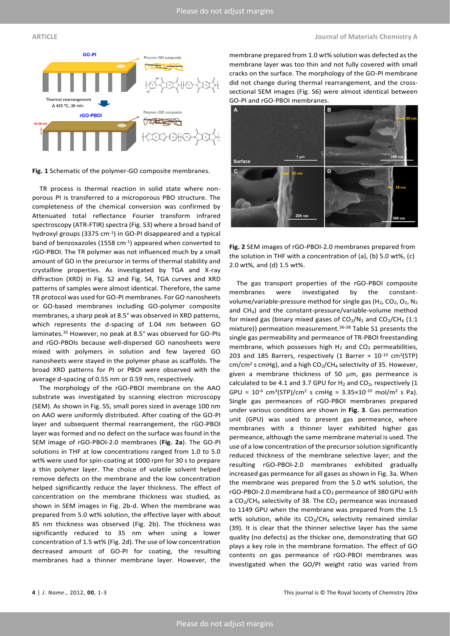#### **ARTICLE Journal of Materials Chemistry A**





**Fig. 1** Schematic of the polymer-GO composite membranes.

TR process is thermal reaction in solid state where nonporous PI is transferred to a microporous PBO structure. The completeness of the chemical conversion was confirmed by Attenuated total reflectance Fourier transform infrared spectroscopy (ATR-FTIR) spectra (Fig. S3) where a broad band of hydroxyl groups (3375 cm-1 ) in GO-PI disappeared and a typical band of benzoxazoles (1558 cm<sup>-1</sup>) appeared when converted to rGO-PBOI. The TR polymer was not influenced much by a small amount of GO in the precursor in terms of thermal stability and crystalline properties. As investigated by TGA and X-ray diffraction (XRD) in Fig. S2 and Fig. S4, TGA curves and XRD patterns of samples were almost identical. Therefore, the same TR protocol was used for GO-PI membranes. For GO nanosheets or GO-based membranes including GO-polymer composite membranes, a sharp peak at 8.5° was observed in XRD patterns, which represents the d-spacing of 1.04 nm between GO laminates. <sup>35</sup> However, no peak at 8.5° was observed for GO-PIs and rGO-PBOIs because well-dispersed GO nanosheets were mixed with polymers in solution and few layered GO nanosheets were stayed in the polymer phase as scaffolds. The broad XRD patterns for PI or PBOI were observed with the average d-spacing of 0.55 nm or 0.59 nm, respectively.

The morphology of the rGO-PBOI membrane on the AAO substrate was investigated by scanning electron microscopy (SEM). As shown in Fig. S5, small pores sized in average 100 nm on AAO were uniformly distributed. After coating of the GO-PI layer and subsequent thermal rearrangement, the rGO-PBOI layer was formed and no defect on the surface was found in the SEM image of rGO-PBOI-2.0 membranes (**Fig. 2a**). The GO-PI solutions in THF at low concentrations ranged from 1.0 to 5.0 wt% were used for spin-coating at 1000 rpm for 30 s to prepare a thin polymer layer. The choice of volatile solvent helped remove defects on the membrane and the low concentration helped significantly reduce the layer thickness. The effect of concentration on the membrane thickness was studied, as shown in SEM images in Fig. 2b-d. When the membrane was prepared from 5.0 wt% solution, the effective layer with about 85 nm thickness was observed (Fig. 2b). The thickness was significantly reduced to 35 nm when using a lower concentration of 1.5 wt% (Fig. 2d). The use of low concentration decreased amount of GO-PI for coating, the resulting membranes had a thinner membrane layer. However, the

membrane prepared from 1.0 wt% solution was defected as the membrane layer was too thin and not fully covered with small cracks on the surface. The morphology of the GO-PI membrane did not change during thermal rearrangement, and the crosssectional SEM images (Fig. S6) were almost identical between GO-PI and rGO-PBOI membranes.



**Fig. 2** SEM images of rGO-PBOI-2.0 membranes prepared from the solution in THF with a concentration of (a), (b) 5.0 wt%, (c) 2.0 wt%, and (d) 1.5 wt%.

The gas transport properties of the rGO-PBOI composite membranes were investigated by the constantvolume/variable-pressure method for single gas ( $H_2$ , CO<sub>2</sub>, O<sub>2</sub>, N<sub>2</sub> and CH4) and the constant-pressure/variable-volume method for mixed gas (binary mixed gases of  $CO<sub>2</sub>/N<sub>2</sub>$  and  $CO<sub>2</sub>/CH<sub>4</sub>$  (1:1 mixture)) permeation measurement.36-38 Table S1 presents the single gas permeability and permeance of TR-PBOI freestanding membrane, which possesses high  $H_2$  and  $CO_2$  permeabilities, 203 and 185 Barrers, respectively (1 Barrer =  $10^{-10}$  cm<sup>3</sup>(STP)  $cm/cm<sup>2</sup>$  s cmHg), and a high  $CO<sub>2</sub>/CH<sub>4</sub>$  selectivity of 35. However, given a membrane thickness of 50  $\mu$ m, gas permeance is calculated to be 4.1 and 3.7 GPU for  $H_2$  and  $CO_2$ , respectively (1 GPU =  $10^{-6}$  cm<sup>3</sup>(STP)/cm<sup>2</sup> s cmHg =  $3.35 \times 10^{-10}$  mol/m<sup>2</sup> s Pa). Single gas permeances of rGO-PBOI membranes prepared under various conditions are shown in **Fig. 3**. Gas permeation unit (GPU) was used to present gas permeance, where membranes with a thinner layer exhibited higher gas permeance, although the same membrane material is used. The use of a low concentration of the precursor solution significantly reduced thickness of the membrane selective layer; and the resulting rGO-PBOI-2.0 membranes exhibited gradually increased gas permeance for all gases as shown in Fig. 3a. When the membrane was prepared from the 5.0 wt% solution, the rGO-PBOI-2.0 membrane had a CO<sub>2</sub> permeance of 380 GPU with a  $CO<sub>2</sub>/CH<sub>4</sub>$  selectivity of 38. The  $CO<sub>2</sub>$  permeance was increased to 1149 GPU when the membrane was prepared from the 1.5 wt% solution, while its  $CO<sub>2</sub>/CH<sub>4</sub>$  selectivity remained similar (39). It is clear that the thinner selective layer has the same quality (no defects) as the thicker one, demonstrating that GO plays a key role in the membrane formation. The effect of GO contents on gas permeance of rGO-PBOI membranes was investigated when the GO/PI weight ratio was varied from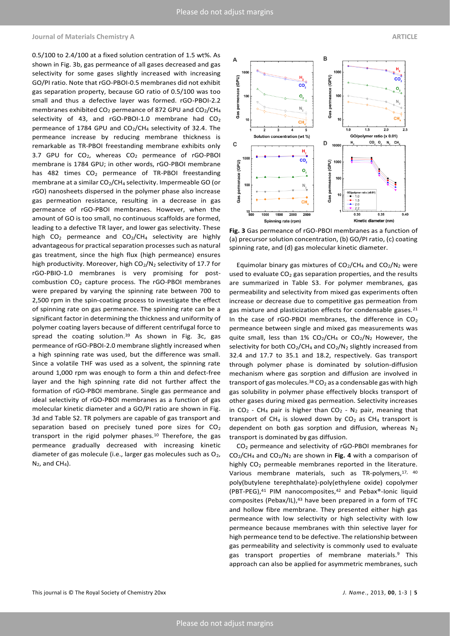#### **Journal of Materials Chemistry A ARTICLE**

0.5/100 to 2.4/100 at a fixed solution centration of 1.5 wt%. As shown in Fig. 3b, gas permeance of all gases decreased and gas selectivity for some gases slightly increased with increasing GO/PI ratio. Note that rGO-PBOI-0.5 membranes did not exhibit gas separation property, because GO ratio of 0.5/100 was too small and thus a defective layer was formed. rGO-PBOI-2.2 membranes exhibited  $CO<sub>2</sub>$  permeance of 872 GPU and  $CO<sub>2</sub>/CH<sub>4</sub>$ selectivity of 43, and rGO-PBOI-1.0 membrane had CO<sub>2</sub> permeance of 1784 GPU and CO<sub>2</sub>/CH<sub>4</sub> selectivity of 32.4. The permeance increase by reducing membrane thickness is remarkable as TR-PBOI freestanding membrane exhibits only 3.7 GPU for  $CO<sub>2</sub>$ , whereas  $CO<sub>2</sub>$  permeance of rGO-PBOI membrane is 1784 GPU; in other words, rGO-PBOI membrane has 482 times CO<sub>2</sub> permeance of TR-PBOI freestanding membrane at a similar CO<sub>2</sub>/CH<sub>4</sub> selectivity. Impermeable GO (or rGO) nanosheets dispersed in the polymer phase also increase gas permeation resistance, resulting in a decrease in gas permeance of rGO-PBOI membranes. However, when the amount of GO is too small, no continuous scaffolds are formed, leading to a defective TR layer, and lower gas selectivity. These high  $CO<sub>2</sub>$  permeance and  $CO<sub>2</sub>/CH<sub>4</sub>$  selectivity are highly advantageous for practical separation processes such as natural gas treatment, since the high flux (high permeance) ensures high productivity. Moreover, high CO<sub>2</sub>/N<sub>2</sub> selectivity of 17.7 for rGO-PBIO-1.0 membranes is very promising for postcombustion CO<sup>2</sup> capture process. The rGO-PBOI membranes were prepared by varying the spinning rate between 700 to 2,500 rpm in the spin-coating process to investigate the effect of spinning rate on gas permeance. The spinning rate can be a significant factor in determining the thickness and uniformity of polymer coating layers because of different centrifugal force to spread the coating solution.<sup>39</sup> As shown in Fig. 3c, gas permeance of rGO-PBOI-2.0 membrane slightly increased when a high spinning rate was used, but the difference was small. Since a volatile THF was used as a solvent, the spinning rate around 1,000 rpm was enough to form a thin and defect-free layer and the high spinning rate did not further affect the formation of rGO-PBOI membrane. Single gas permeance and ideal selectivity of rGO-PBOI membranes as a function of gas molecular kinetic diameter and a GO/PI ratio are shown in Fig. 3d and Table S2. TR polymers are capable of gas transport and separation based on precisely tuned pore sizes for  $CO<sub>2</sub>$ transport in the rigid polymer phases.<sup>10</sup> Therefore, the gas permeance gradually decreased with increasing kinetic diameter of gas molecule (i.e., larger gas molecules such as  $O_2$ ,  $N_2$ , and CH<sub>4</sub>).





**Fig. 3** Gas permeance of rGO-PBOI membranes as a function of (a) precursor solution concentration, (b) GO/PI ratio, (c) coating spinning rate, and (d) gas molecular kinetic diameter.

Equimolar binary gas mixtures of  $CO_2/CH_4$  and  $CO_2/N_2$  were used to evaluate  $CO<sub>2</sub>$  gas separation properties, and the results are summarized in Table S3. For polymer membranes, gas permeability and selectivity from mixed gas experiments often increase or decrease due to competitive gas permeation from gas mixture and plasticization effects for condensable gases.<sup>21</sup> In the case of rGO-PBOI membranes, the difference in  $CO<sub>2</sub>$ permeance between single and mixed gas measurements was quite small, less than  $1\%$  CO<sub>2</sub>/CH<sub>4</sub> or CO<sub>2</sub>/N<sub>2</sub> However, the selectivity for both  $CO_2/CH_4$  and  $CO_2/N_2$  slightly increased from 32.4 and 17.7 to 35.1 and 18.2, respectively. Gas transport through polymer phase is dominated by solution-diffusion mechanism where gas sorption and diffusion are involved in transport of gas molecules.<sup>38</sup> CO<sub>2</sub> as a condensable gas with high gas solubility in polymer phase effectively blocks transport of other gases during mixed gas permeation. Selectivity increases in  $CO_2$  - CH<sub>4</sub> pair is higher than  $CO_2$  - N<sub>2</sub> pair, meaning that transport of CH<sub>4</sub> is slowed down by CO<sub>2</sub> as CH<sub>4</sub> transport is dependent on both gas sorption and diffusion, whereas  $N_2$ transport is dominated by gas diffusion.

CO<sup>2</sup> permeance and selectivity of rGO-PBOI membranes for CO2/CH<sup>4</sup> and CO2/N<sup>2</sup> are shown in **Fig. 4** with a comparison of highly CO<sub>2</sub> permeable membranes reported in the literature. Various membrane materials, such as TR-polymers, 17, 40 poly(butylene terephthalate)-poly(ethylene oxide) copolymer (PBT-PEG),<sup>41</sup> PIM nanocomposites,<sup>42</sup> and Pebax®-Ionic liquid composites (Pebax/IL), $43$  have been prepared in a form of TFC and hollow fibre membrane. They presented either high gas permeance with low selectivity or high selectivity with low permeance because membranes with thin selective layer for high permeance tend to be defective. The relationship between gas permeability and selectivity is commonly used to evaluate gas transport properties of membrane materials.<sup>9</sup> This approach can also be applied for asymmetric membranes, such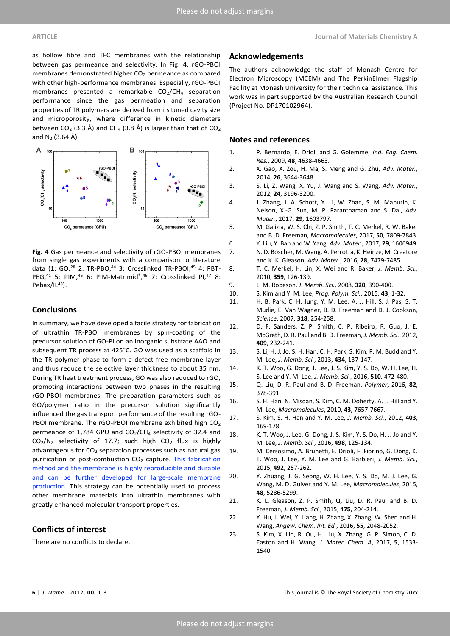membranes demonstrated higher CO<sub>2</sub> permeance as compared with other high-performance membranes. Especially, rGO-PBOI membranes presented a remarkable  $CO<sub>2</sub>/CH<sub>4</sub>$  separation performance since the gas permeation and separation properties of TR polymers are derived from its tuned cavity size and microporosity, where difference in kinetic diameters between CO<sub>2</sub> (3.3 Å) and CH<sub>4</sub> (3.8 Å) is larger than that of CO<sub>2</sub> and  $N_2$  (3.64 Å).



**Fig. 4** Gas permeance and selectivity of rGO-PBOI membranes from single gas experiments with a comparison to literature data (1: GO,<sup>28</sup> 2: TR-PBO,<sup>44</sup> 3: Crosslinked TR-PBOI,<sup>45</sup> 4: PBT-PEG,<sup>41</sup> 5: PIM,<sup>46</sup> 6: PIM-Matrimid® , <sup>46</sup> 7: Crosslinked PI,<sup>47</sup> 8: Pebax/IL<sup>48</sup>).

## **Conclusions**

In summary, we have developed a facile strategy for fabrication of ultrathin TR-PBOI membranes by spin-coating of the precursor solution of GO-PI on an inorganic substrate AAO and subsequent TR process at 425°C. GO was used as a scaffold in the TR polymer phase to form a defect-free membrane layer and thus reduce the selective layer thickness to about 35 nm. During TR heat treatment process, GO was also reduced to rGO, promoting interactions between two phases in the resulting rGO-PBOI membranes. The preparation parameters such as GO/polymer ratio in the precursor solution significantly influenced the gas transport performance of the resulting rGO-PBOI membrane. The rGO-PBOI membrane exhibited high CO<sub>2</sub> permeance of 1,784 GPU and  $CO<sub>2</sub>/CH<sub>4</sub>$  selectivity of 32.4 and  $CO<sub>2</sub>/N<sub>2</sub>$  selectivity of 17.7; such high  $CO<sub>2</sub>$  flux is highly advantageous for CO<sub>2</sub> separation processes such as natural gas purification or post-combustion  $CO<sub>2</sub>$  capture. This fabrication method and the membrane is highly reproducible and durable and can be further developed for large-scale membrane production. This strategy can be potentially used to process other membrane materials into ultrathin membranes with greatly enhanced molecular transport properties.

## **Conflicts of interest**

There are no conflicts to declare.

### **Acknowledgements**

The authors acknowledge the staff of Monash Centre for Electron Microscopy (MCEM) and The PerkinElmer Flagship Facility at Monash University for their technical assistance. This work was in part supported by the Australian Research Council (Project No. DP170102964).

## **Notes and references**

- 1. P. Bernardo, E. Drioli and G. Golemme, *Ind. Eng. Chem. Res.*, 2009, **48**, 4638-4663.
- 2. X. Gao, X. Zou, H. Ma, S. Meng and G. Zhu, *Adv. Mater.*, 2014, **26**, 3644-3648.
- 3. S. Li, Z. Wang, X. Yu, J. Wang and S. Wang, *Adv. Mater.*, 2012, **24**, 3196-3200.
- 4. J. Zhang, J. A. Schott, Y. Li, W. Zhan, S. M. Mahurin, K. Nelson, X.-G. Sun, M. P. Paranthaman and S. Dai, *Adv. Mater.*, 2017, **29**, 1603797.
- 5. M. Galizia, W. S. Chi, Z. P. Smith, T. C. Merkel, R. W. Baker and B. D. Freeman, *Macromolecules*, 2017, **50**, 7809-7843.
- 6. Y. Liu, Y. Ban and W. Yang, *Adv. Mater.*, 2017, **29**, 1606949. 7. N. D. Boscher, M. Wang, A. Perrotta, K. Heinze, M. Creatore and K. K. Gleason, *Adv. Mater.*, 2016, **28**, 7479-7485.
- 8. T. C. Merkel, H. Lin, X. Wei and R. Baker, *J. Memb. Sci.*, 2010, **359**, 126-139.
- 9. L. M. Robeson, *J. Memb. Sci.*, 2008, **320**, 390-400.
	- 10. S. Kim and Y. M. Lee, *Prog. Polym. Sci.*, 2015, **43**, 1-32.
- 11. H. B. Park, C. H. Jung, Y. M. Lee, A. J. Hill, S. J. Pas, S. T. Mudie, E. Van Wagner, B. D. Freeman and D. J. Cookson, *Science*, 2007, **318**, 254-258.
- 12. D. F. Sanders, Z. P. Smith, C. P. Ribeiro, R. Guo, J. E. McGrath, D. R. Paul and B. D. Freeman, *J. Memb. Sci.*, 2012, **409**, 232-241.
- 13. S. Li, H. J. Jo, S. H. Han, C. H. Park, S. Kim, P. M. Budd and Y. M. Lee, *J. Memb. Sci.*, 2013, **434**, 137-147.
- 14. K. T. Woo, G. Dong, J. Lee, J. S. Kim, Y. S. Do, W. H. Lee, H. S. Lee and Y. M. Lee, *J. Memb. Sci.*, 2016, **510**, 472-480.
- 15. Q. Liu, D. R. Paul and B. D. Freeman, *Polymer*, 2016, **82**, 378-391.
- 16. S. H. Han, N. Misdan, S. Kim, C. M. Doherty, A. J. Hill and Y. M. Lee, *Macromolecules*, 2010, **43**, 7657-7667.
- 17. S. Kim, S. H. Han and Y. M. Lee, *J. Memb. Sci.*, 2012, **403**, 169-178.
- 18. K. T. Woo, J. Lee, G. Dong, J. S. Kim, Y. S. Do, H. J. Jo and Y. M. Lee, *J. Memb. Sci.*, 2016, **498**, 125-134.
- 19. M. Cersosimo, A. Brunetti, E. Drioli, F. Fiorino, G. Dong, K. T. Woo, J. Lee, Y. M. Lee and G. Barbieri, *J. Memb. Sci.*, 2015, **492**, 257-262.
- 20. Y. Zhuang, J. G. Seong, W. H. Lee, Y. S. Do, M. J. Lee, G. Wang, M. D. Guiver and Y. M. Lee, *Macromolecules*, 2015, **48**, 5286-5299.
- 21. K. L. Gleason, Z. P. Smith, Q. Liu, D. R. Paul and B. D. Freeman, *J. Memb. Sci.*, 2015, **475**, 204-214.
- 22. Y. Hu, J. Wei, Y. Liang, H. Zhang, X. Zhang, W. Shen and H. Wang, *Angew. Chem. Int. Ed.*, 2016, **55**, 2048-2052.
- 23. S. Kim, X. Lin, R. Ou, H. Liu, X. Zhang, G. P. Simon, C. D. Easton and H. Wang, *J. Mater. Chem. A*, 2017, **5**, 1533- 1540.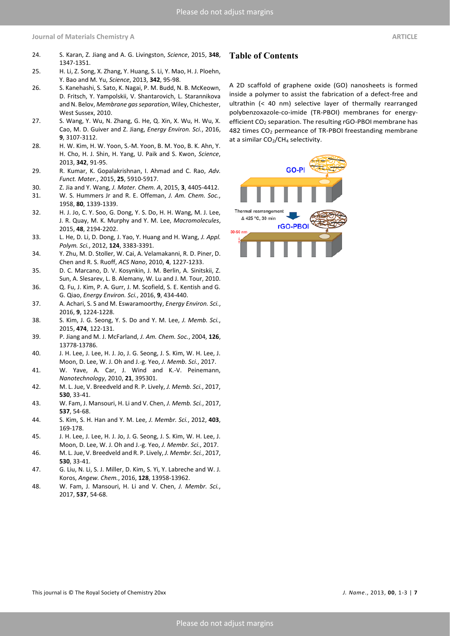**Journal of Materials Chemistry A ARTICLE**

- 24. S. Karan, Z. Jiang and A. G. Livingston, *Science*, 2015, **348**, 1347-1351.
- 25. H. Li, Z. Song, X. Zhang, Y. Huang, S. Li, Y. Mao, H. J. Ploehn, Y. Bao and M. Yu, *Science*, 2013, **342**, 95-98.
- 26. S. Kanehashi, S. Sato, K. Nagai, P. M. Budd, N. B. McKeown, D. Fritsch, Y. Yampolskii, V. Shantarovich, L. Starannikova and N. Belov, *Membrane gas separation*, Wiley, Chichester, West Sussex, 2010.
- 27. S. Wang, Y. Wu, N. Zhang, G. He, Q. Xin, X. Wu, H. Wu, X. Cao, M. D. Guiver and Z. Jiang, *Energy Environ. Sci.*, 2016, **9**, 3107-3112.
- 28. H. W. Kim, H. W. Yoon, S.-M. Yoon, B. M. Yoo, B. K. Ahn, Y. H. Cho, H. J. Shin, H. Yang, U. Paik and S. Kwon, *Science*, 2013, **342**, 91-95.
- 29. R. Kumar, K. Gopalakrishnan, I. Ahmad and C. Rao, *Adv. Funct. Mater.*, 2015, **25**, 5910-5917.
- 30. Z. Jia and Y. Wang, *J. Mater. Chem. A*, 2015, **3**, 4405-4412.
- 31. W. S. Hummers Jr and R. E. Offeman, *J. Am. Chem. Soc.*, 1958, **80**, 1339-1339.
- 32. H. J. Jo, C. Y. Soo, G. Dong, Y. S. Do, H. H. Wang, M. J. Lee, J. R. Quay, M. K. Murphy and Y. M. Lee, *Macromolecules*, 2015, **48**, 2194-2202.
- 33. L. He, D. Li, D. Dong, J. Yao, Y. Huang and H. Wang, *J. Appl. Polym. Sci.*, 2012, **124**, 3383-3391.
- 34. Y. Zhu, M. D. Stoller, W. Cai, A. Velamakanni, R. D. Piner, D. Chen and R. S. Ruoff, *ACS Nano*, 2010, **4**, 1227-1233.
- 35. D. C. Marcano, D. V. Kosynkin, J. M. Berlin, A. Sinitskii, Z. Sun, A. Slesarev, L. B. Alemany, W. Lu and J. M. Tour, 2010.
- 36. Q. Fu, J. Kim, P. A. Gurr, J. M. Scofield, S. E. Kentish and G. G. Qiao, *Energy Environ. Sci.*, 2016, **9**, 434-440.
- 37. A. Achari, S. S and M. Eswaramoorthy, *Energy Environ. Sci.*, 2016, **9**, 1224-1228.
- 38. S. Kim, J. G. Seong, Y. S. Do and Y. M. Lee, *J. Memb. Sci.*, 2015, **474**, 122-131.
- 39. P. Jiang and M. J. McFarland, *J. Am. Chem. Soc.*, 2004, **126**, 13778-13786.
- 40. J. H. Lee, J. Lee, H. J. Jo, J. G. Seong, J. S. Kim, W. H. Lee, J. Moon, D. Lee, W. J. Oh and J.-g. Yeo, *J. Memb. Sci.*, 2017.
- 41. W. Yave, A. Car, J. Wind and K.-V. Peinemann, *Nanotechnology*, 2010, **21**, 395301.
- 42. M. L. Jue, V. Breedveld and R. P. Lively, *J. Memb. Sci.*, 2017, **530**, 33-41.
- 43. W. Fam, J. Mansouri, H. Li and V. Chen, *J. Memb. Sci.*, 2017, **537**, 54-68.
- 44. S. Kim, S. H. Han and Y. M. Lee, *J. Membr. Sci.*, 2012, **403**, 169-178.
- 45. J. H. Lee, J. Lee, H. J. Jo, J. G. Seong, J. S. Kim, W. H. Lee, J. Moon, D. Lee, W. J. Oh and J.-g. Yeo, *J. Membr. Sci.*, 2017.
- 46. M. L. Jue, V. Breedveld and R. P. Lively, *J. Membr. Sci.*, 2017, **530**, 33-41.
- 47. G. Liu, N. Li, S. J. Miller, D. Kim, S. Yi, Y. Labreche and W. J. Koros, *Angew. Chem.*, 2016, **128**, 13958-13962.
- 48. W. Fam, J. Mansouri, H. Li and V. Chen, *J. Membr. Sci.*, 2017, **537**, 54-68.

# **Table of Contents**

A 2D scaffold of graphene oxide (GO) nanosheets is formed inside a polymer to assist the fabrication of a defect-free and ultrathin (< 40 nm) selective layer of thermally rearranged polybenzoxazole-co-imide (TR-PBOI) membranes for energyefficient CO<sub>2</sub> separation. The resulting rGO-PBOI membrane has 482 times CO<sub>2</sub> permeance of TR-PBOI freestanding membrane at a similar  $CO<sub>2</sub>/CH<sub>4</sub>$  selectivity.

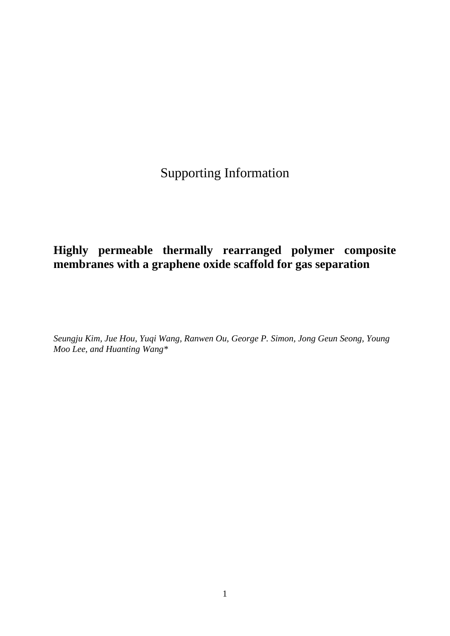Supporting Information

# **Highly permeable thermally rearranged polymer composite membranes with a graphene oxide scaffold for gas separation**

*Seungju Kim, Jue Hou, Yuqi Wang, Ranwen Ou, George P. Simon, Jong Geun Seong, Young Moo Lee, and Huanting Wang\**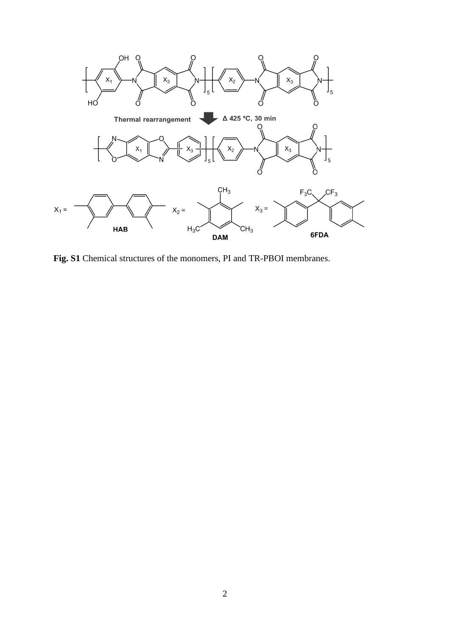

**Fig. S1** Chemical structures of the monomers, PI and TR-PBOI membranes.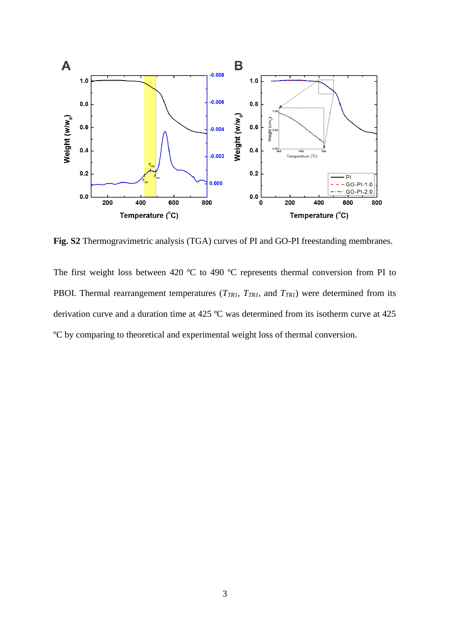

**Fig. S2** Thermogravimetric analysis (TGA) curves of PI and GO-PI freestanding membranes.

The first weight loss between 420 °C to 490 °C represents thermal conversion from PI to PBOI. Thermal rearrangement temperatures ( $T_{TR1}$ ,  $T_{TR1}$ , and  $T_{TR1}$ ) were determined from its derivation curve and a duration time at 425 ºC was determined from its isotherm curve at 425 ºC by comparing to theoretical and experimental weight loss of thermal conversion.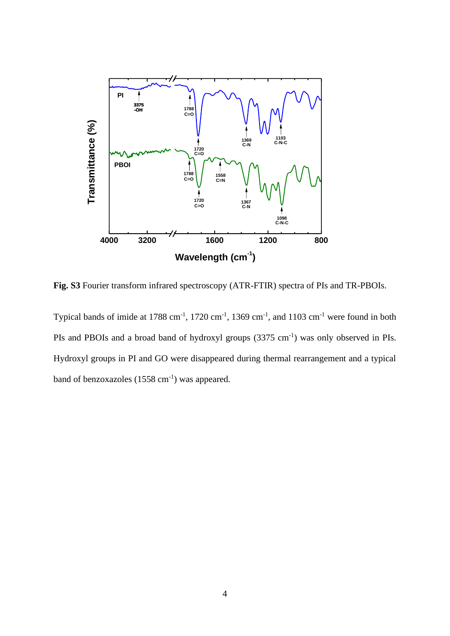

**Fig. S3** Fourier transform infrared spectroscopy (ATR-FTIR) spectra of PIs and TR-PBOIs.

Typical bands of imide at 1788 cm<sup>-1</sup>, 1720 cm<sup>-1</sup>, 1369 cm<sup>-1</sup>, and 1103 cm<sup>-1</sup> were found in both PIs and PBOIs and a broad band of hydroxyl groups  $(3375 \text{ cm}^{-1})$  was only observed in PIs. Hydroxyl groups in PI and GO were disappeared during thermal rearrangement and a typical band of benzoxazoles  $(1558 \text{ cm}^{-1})$  was appeared.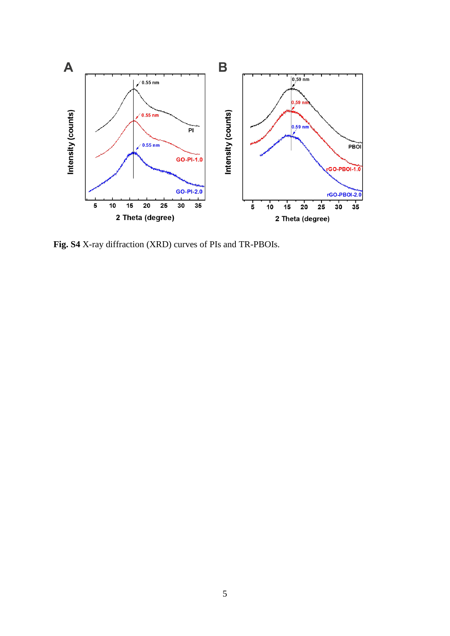

**Fig. S4** X-ray diffraction (XRD) curves of PIs and TR-PBOIs.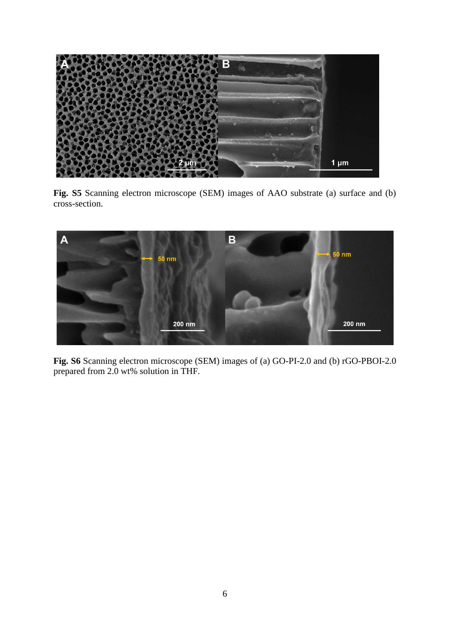

**Fig. S5** Scanning electron microscope (SEM) images of AAO substrate (a) surface and (b) cross-section.



**Fig. S6** Scanning electron microscope (SEM) images of (a) GO-PI-2.0 and (b) rGO-PBOI-2.0 prepared from 2.0 wt% solution in THF.